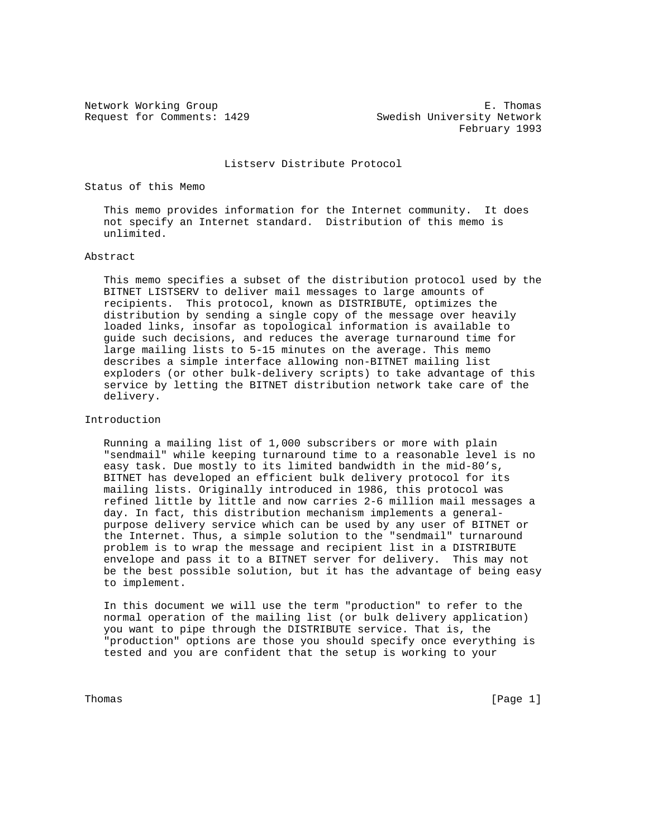Network Working Group **E. Thomas** E. Thomas Request for Comments: 1429 Swedish University Network February 1993

#### Listserv Distribute Protocol

Status of this Memo

 This memo provides information for the Internet community. It does not specify an Internet standard. Distribution of this memo is unlimited.

# Abstract

 This memo specifies a subset of the distribution protocol used by the BITNET LISTSERV to deliver mail messages to large amounts of recipients. This protocol, known as DISTRIBUTE, optimizes the distribution by sending a single copy of the message over heavily loaded links, insofar as topological information is available to guide such decisions, and reduces the average turnaround time for large mailing lists to 5-15 minutes on the average. This memo describes a simple interface allowing non-BITNET mailing list exploders (or other bulk-delivery scripts) to take advantage of this service by letting the BITNET distribution network take care of the delivery.

## Introduction

 Running a mailing list of 1,000 subscribers or more with plain "sendmail" while keeping turnaround time to a reasonable level is no easy task. Due mostly to its limited bandwidth in the mid-80's, BITNET has developed an efficient bulk delivery protocol for its mailing lists. Originally introduced in 1986, this protocol was refined little by little and now carries 2-6 million mail messages a day. In fact, this distribution mechanism implements a general purpose delivery service which can be used by any user of BITNET or the Internet. Thus, a simple solution to the "sendmail" turnaround problem is to wrap the message and recipient list in a DISTRIBUTE envelope and pass it to a BITNET server for delivery. This may not be the best possible solution, but it has the advantage of being easy to implement.

 In this document we will use the term "production" to refer to the normal operation of the mailing list (or bulk delivery application) you want to pipe through the DISTRIBUTE service. That is, the "production" options are those you should specify once everything is tested and you are confident that the setup is working to your

Thomas [Page 1]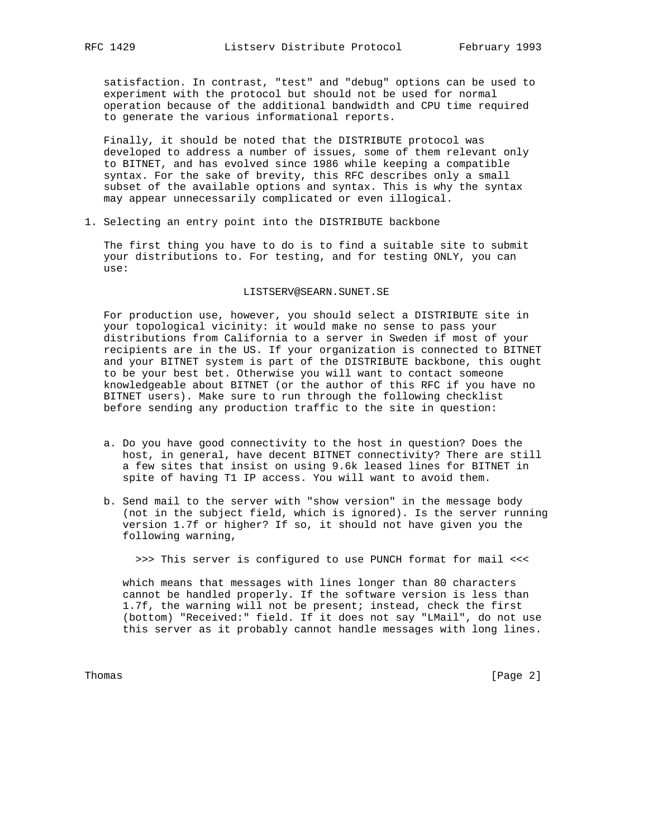satisfaction. In contrast, "test" and "debug" options can be used to experiment with the protocol but should not be used for normal operation because of the additional bandwidth and CPU time required to generate the various informational reports.

 Finally, it should be noted that the DISTRIBUTE protocol was developed to address a number of issues, some of them relevant only to BITNET, and has evolved since 1986 while keeping a compatible syntax. For the sake of brevity, this RFC describes only a small subset of the available options and syntax. This is why the syntax may appear unnecessarily complicated or even illogical.

1. Selecting an entry point into the DISTRIBUTE backbone

 The first thing you have to do is to find a suitable site to submit your distributions to. For testing, and for testing ONLY, you can use:

## LISTSERV@SEARN.SUNET.SE

 For production use, however, you should select a DISTRIBUTE site in your topological vicinity: it would make no sense to pass your distributions from California to a server in Sweden if most of your recipients are in the US. If your organization is connected to BITNET and your BITNET system is part of the DISTRIBUTE backbone, this ought to be your best bet. Otherwise you will want to contact someone knowledgeable about BITNET (or the author of this RFC if you have no BITNET users). Make sure to run through the following checklist before sending any production traffic to the site in question:

- a. Do you have good connectivity to the host in question? Does the host, in general, have decent BITNET connectivity? There are still a few sites that insist on using 9.6k leased lines for BITNET in spite of having T1 IP access. You will want to avoid them.
- b. Send mail to the server with "show version" in the message body (not in the subject field, which is ignored). Is the server running version 1.7f or higher? If so, it should not have given you the following warning,

>>> This server is configured to use PUNCH format for mail <<<

 which means that messages with lines longer than 80 characters cannot be handled properly. If the software version is less than 1.7f, the warning will not be present; instead, check the first (bottom) "Received:" field. If it does not say "LMail", do not use this server as it probably cannot handle messages with long lines.

Thomas [Page 2]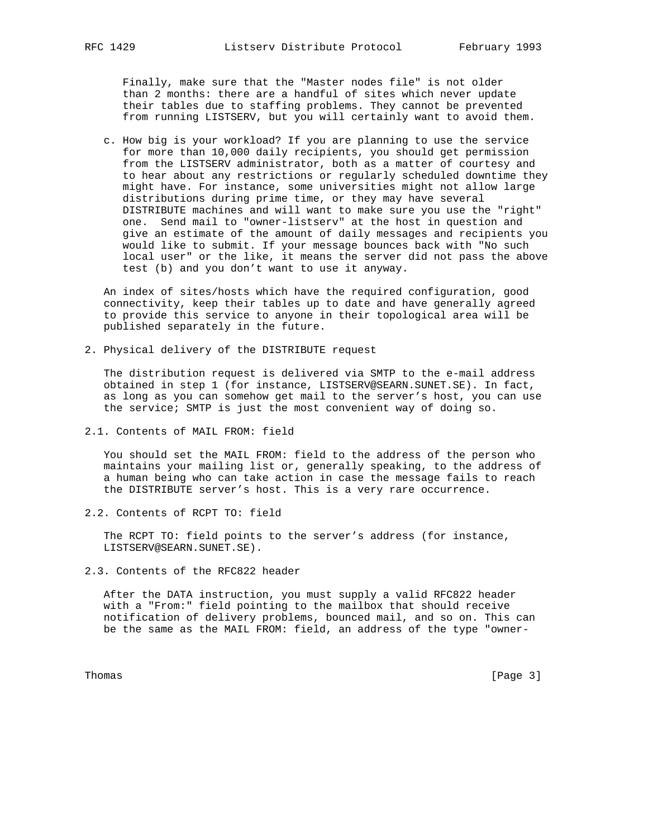Finally, make sure that the "Master nodes file" is not older than 2 months: there are a handful of sites which never update their tables due to staffing problems. They cannot be prevented from running LISTSERV, but you will certainly want to avoid them.

 c. How big is your workload? If you are planning to use the service for more than 10,000 daily recipients, you should get permission from the LISTSERV administrator, both as a matter of courtesy and to hear about any restrictions or regularly scheduled downtime they might have. For instance, some universities might not allow large distributions during prime time, or they may have several DISTRIBUTE machines and will want to make sure you use the "right" one. Send mail to "owner-listserv" at the host in question and give an estimate of the amount of daily messages and recipients you would like to submit. If your message bounces back with "No such local user" or the like, it means the server did not pass the above test (b) and you don't want to use it anyway.

 An index of sites/hosts which have the required configuration, good connectivity, keep their tables up to date and have generally agreed to provide this service to anyone in their topological area will be published separately in the future.

2. Physical delivery of the DISTRIBUTE request

 The distribution request is delivered via SMTP to the e-mail address obtained in step 1 (for instance, LISTSERV@SEARN.SUNET.SE). In fact, as long as you can somehow get mail to the server's host, you can use the service; SMTP is just the most convenient way of doing so.

2.1. Contents of MAIL FROM: field

 You should set the MAIL FROM: field to the address of the person who maintains your mailing list or, generally speaking, to the address of a human being who can take action in case the message fails to reach the DISTRIBUTE server's host. This is a very rare occurrence.

2.2. Contents of RCPT TO: field

 The RCPT TO: field points to the server's address (for instance, LISTSERV@SEARN.SUNET.SE).

2.3. Contents of the RFC822 header

 After the DATA instruction, you must supply a valid RFC822 header with a "From:" field pointing to the mailbox that should receive notification of delivery problems, bounced mail, and so on. This can be the same as the MAIL FROM: field, an address of the type "owner-

Thomas [Page 3]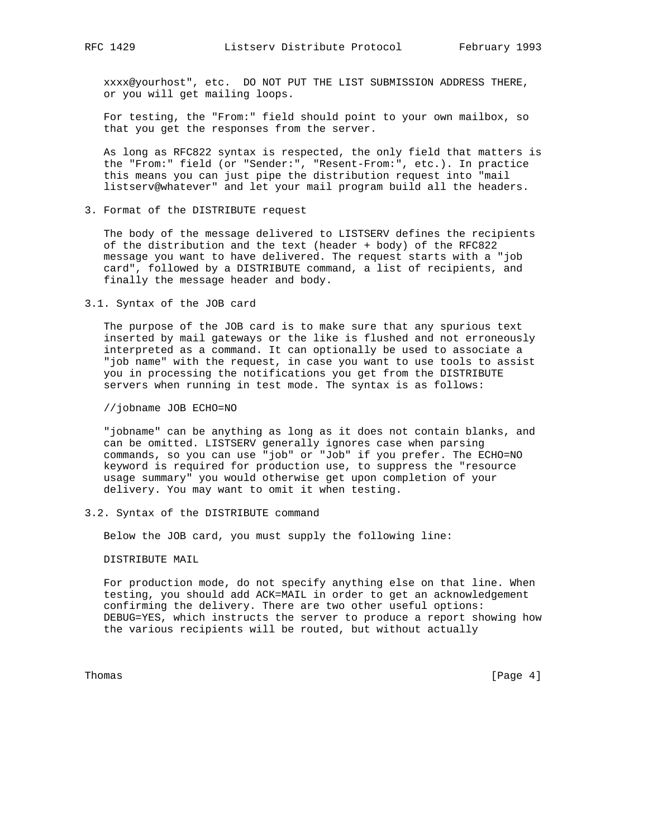xxxx@yourhost", etc. DO NOT PUT THE LIST SUBMISSION ADDRESS THERE, or you will get mailing loops.

 For testing, the "From:" field should point to your own mailbox, so that you get the responses from the server.

 As long as RFC822 syntax is respected, the only field that matters is the "From:" field (or "Sender:", "Resent-From:", etc.). In practice this means you can just pipe the distribution request into "mail listserv@whatever" and let your mail program build all the headers.

3. Format of the DISTRIBUTE request

 The body of the message delivered to LISTSERV defines the recipients of the distribution and the text (header + body) of the RFC822 message you want to have delivered. The request starts with a "job card", followed by a DISTRIBUTE command, a list of recipients, and finally the message header and body.

3.1. Syntax of the JOB card

 The purpose of the JOB card is to make sure that any spurious text inserted by mail gateways or the like is flushed and not erroneously interpreted as a command. It can optionally be used to associate a "job name" with the request, in case you want to use tools to assist you in processing the notifications you get from the DISTRIBUTE servers when running in test mode. The syntax is as follows:

//jobname JOB ECHO=NO

 "jobname" can be anything as long as it does not contain blanks, and can be omitted. LISTSERV generally ignores case when parsing commands, so you can use "job" or "Job" if you prefer. The ECHO=NO keyword is required for production use, to suppress the "resource usage summary" you would otherwise get upon completion of your delivery. You may want to omit it when testing.

#### 3.2. Syntax of the DISTRIBUTE command

Below the JOB card, you must supply the following line:

DISTRIBUTE MAIL

 For production mode, do not specify anything else on that line. When testing, you should add ACK=MAIL in order to get an acknowledgement confirming the delivery. There are two other useful options: DEBUG=YES, which instructs the server to produce a report showing how the various recipients will be routed, but without actually

Thomas [Page 4]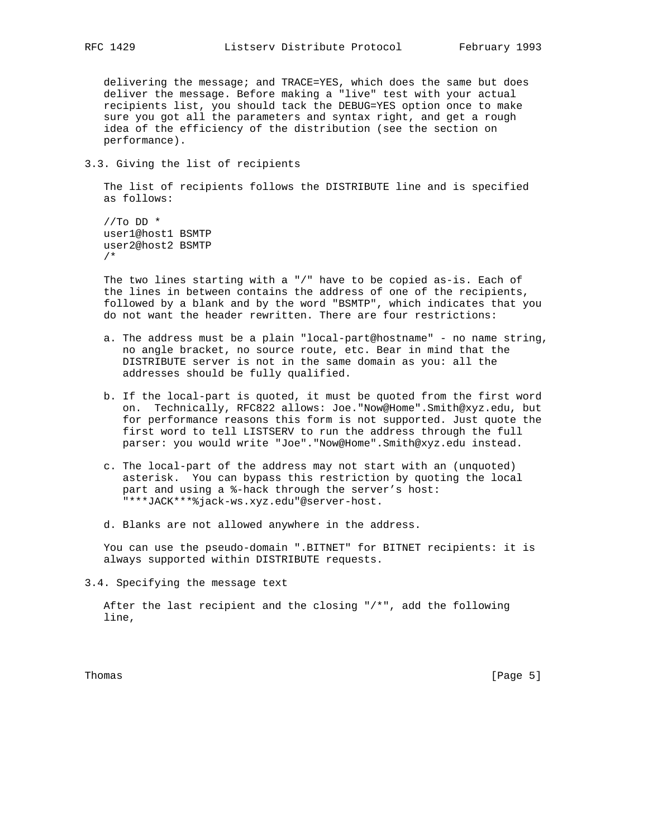delivering the message; and TRACE=YES, which does the same but does deliver the message. Before making a "live" test with your actual recipients list, you should tack the DEBUG=YES option once to make sure you got all the parameters and syntax right, and get a rough idea of the efficiency of the distribution (see the section on performance).

3.3. Giving the list of recipients

 The list of recipients follows the DISTRIBUTE line and is specified as follows:

 $//To DD *$  user1@host1 BSMTP user2@host2 BSMTP /\*

 The two lines starting with a "/" have to be copied as-is. Each of the lines in between contains the address of one of the recipients, followed by a blank and by the word "BSMTP", which indicates that you do not want the header rewritten. There are four restrictions:

- a. The address must be a plain "local-part@hostname" no name string, no angle bracket, no source route, etc. Bear in mind that the DISTRIBUTE server is not in the same domain as you: all the addresses should be fully qualified.
- b. If the local-part is quoted, it must be quoted from the first word on. Technically, RFC822 allows: Joe."Now@Home".Smith@xyz.edu, but for performance reasons this form is not supported. Just quote the first word to tell LISTSERV to run the address through the full parser: you would write "Joe"."Now@Home".Smith@xyz.edu instead.
- c. The local-part of the address may not start with an (unquoted) asterisk. You can bypass this restriction by quoting the local part and using a %-hack through the server's host: "\*\*\*JACK\*\*\*%jack-ws.xyz.edu"@server-host.
- d. Blanks are not allowed anywhere in the address.

 You can use the pseudo-domain ".BITNET" for BITNET recipients: it is always supported within DISTRIBUTE requests.

3.4. Specifying the message text

 After the last recipient and the closing "/\*", add the following line,

Thomas [Page 5]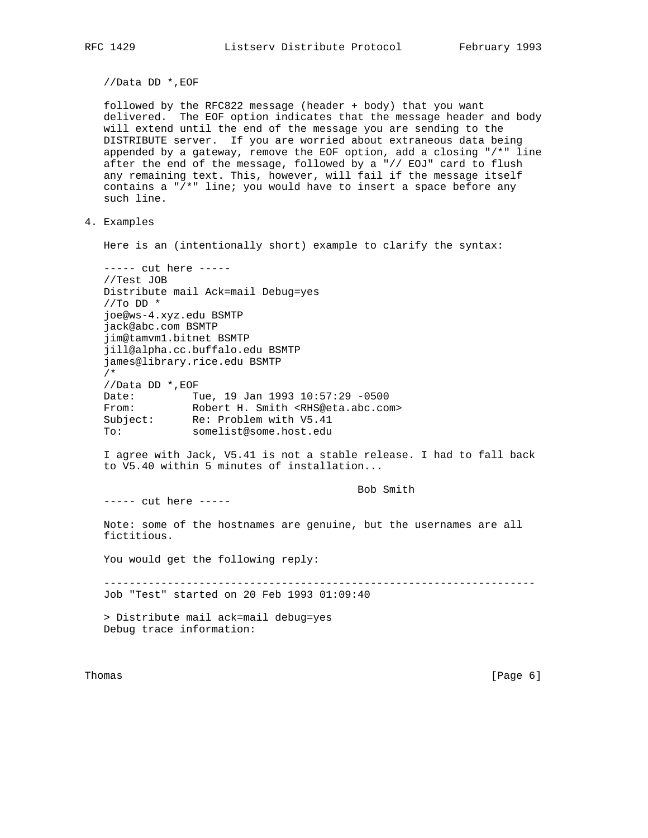//Data DD \*,EOF

 followed by the RFC822 message (header + body) that you want delivered. The EOF option indicates that the message header and body will extend until the end of the message you are sending to the DISTRIBUTE server. If you are worried about extraneous data being appended by a gateway, remove the EOF option, add a closing "/\*" line after the end of the message, followed by a "// EOJ" card to flush any remaining text. This, however, will fail if the message itself contains a "/\*" line; you would have to insert a space before any such line.

4. Examples

Here is an (intentionally short) example to clarify the syntax:

```
 ----- cut here -----
 //Test JOB
 Distribute mail Ack=mail Debug=yes
//To DD * joe@ws-4.xyz.edu BSMTP
 jack@abc.com BSMTP
 jim@tamvm1.bitnet BSMTP
 jill@alpha.cc.buffalo.edu BSMTP
 james@library.rice.edu BSMTP
 /*
//Data DD *, EOF<br>Date: T<br>From: R
              Tue, 19 Jan 1993 10:57:29 -0500Robert H. Smith <RHS@eta.abc.com>
Subject: Re: Problem with V5.41
 To: somelist@some.host.edu
```
 I agree with Jack, V5.41 is not a stable release. I had to fall back to V5.40 within 5 minutes of installation...

Bob Smith

----- cut here -----

 Note: some of the hostnames are genuine, but the usernames are all fictitious.

You would get the following reply:

 -------------------------------------------------------------------- Job "Test" started on 20 Feb 1993 01:09:40

 > Distribute mail ack=mail debug=yes Debug trace information:

Thomas [Page 6]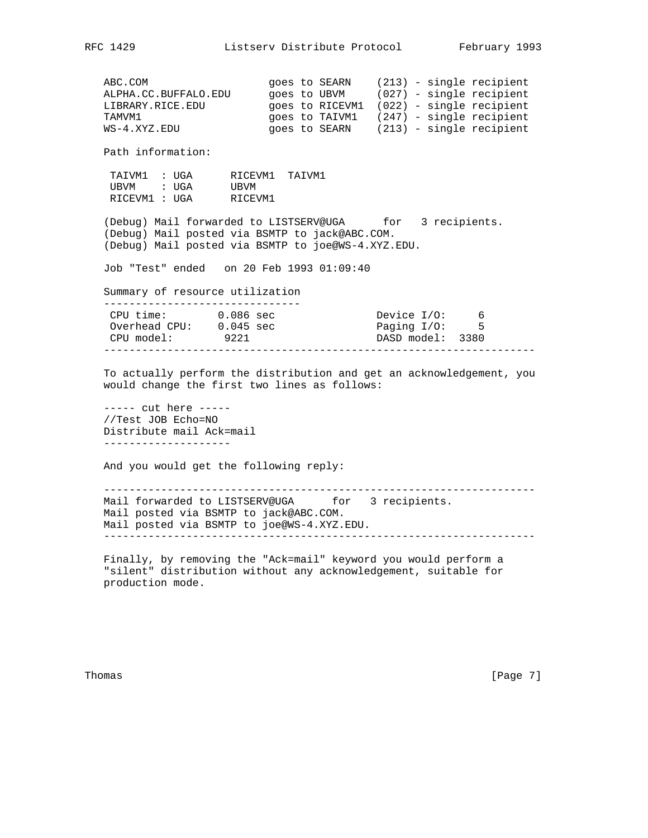ABC.COM goes to SEARN (213) - single recipient ALPHA.CC.BUFFALO.EDU goes to UBVM (027) - single recipient LIBRARY.RICE.EDU goes to RICEVM1 (022) - single recipient TAMVM1 **EXAMUM1** goes to TAIVM1 (247) - single recipient WS-4.XYZ.EDU 90es to SEARN (213) - single recipient Path information: TAIVM1 : UGA RICEVM1 TAIVM1 UBVM : UGA UBVM RICEVM1 : UGA RICEVM1 (Debug) Mail forwarded to LISTSERV@UGA for 3 recipients. (Debug) Mail posted via BSMTP to jack@ABC.COM. (Debug) Mail posted via BSMTP to joe@WS-4.XYZ.EDU. Job "Test" ended on 20 Feb 1993 01:09:40 Summary of resource utilization ------------------------------- CPU time: 0.086 sec Device I/O: 6 Overhead CPU: 0.045 sec Paging I/O: 5 CPU model: 9221 DASD model: 3380 -------------------------------------------------------------------- To actually perform the distribution and get an acknowledgement, you would change the first two lines as follows: ----- cut here ----- //Test JOB Echo=NO Distribute mail Ack=mail -------------------- And you would get the following reply: -------------------------------------------------------------------- Mail forwarded to LISTSERV@UGA for 3 recipients. Mail posted via BSMTP to jack@ABC.COM. Mail posted via BSMTP to joe@WS-4.XYZ.EDU. -------------------------------------------------------------------- Finally, by removing the "Ack=mail" keyword you would perform a "silent" distribution without any acknowledgement, suitable for production mode.

Thomas [Page 7]